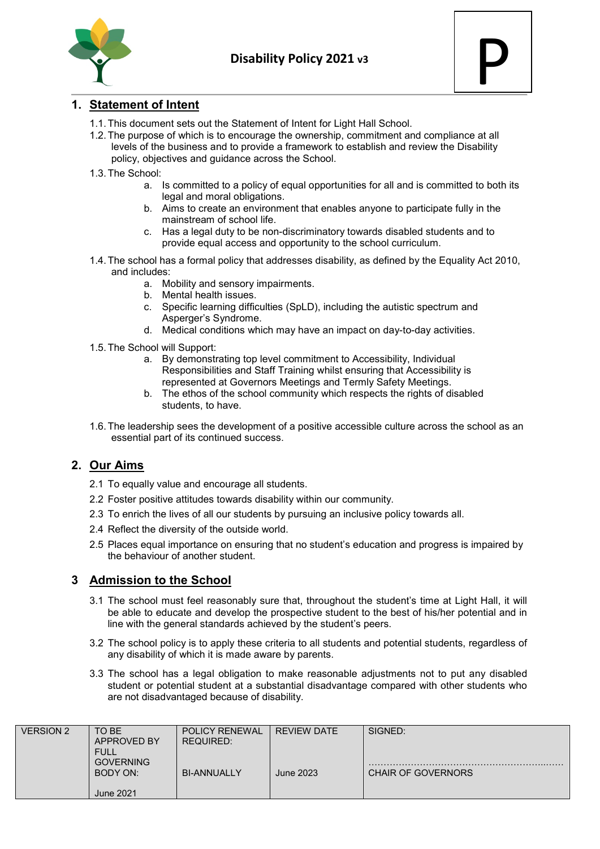



# **1. Statement of Intent**

- 1.1.This document sets out the Statement of Intent for Light Hall School.
- 1.2.The purpose of which is to encourage the ownership, commitment and compliance at all levels of the business and to provide a framework to establish and review the Disability policy, objectives and guidance across the School.
- 1.3.The School:
	- a. Is committed to a policy of equal opportunities for all and is committed to both its legal and moral obligations.
	- b. Aims to create an environment that enables anyone to participate fully in the mainstream of school life.
	- c. Has a legal duty to be non-discriminatory towards disabled students and to provide equal access and opportunity to the school curriculum.
- 1.4.The school has a formal policy that addresses disability, as defined by the Equality Act 2010, and includes:
	- a. Mobility and sensory impairments.
	- b. Mental health issues.
	- c. Specific learning difficulties (SpLD), including the autistic spectrum and Asperger's Syndrome.
	- d. Medical conditions which may have an impact on day-to-day activities.
- 1.5.The School will Support:
	- a. By demonstrating top level commitment to Accessibility, Individual Responsibilities and Staff Training whilst ensuring that Accessibility is represented at Governors Meetings and Termly Safety Meetings.
	- b. The ethos of the school community which respects the rights of disabled students, to have.
- 1.6.The leadership sees the development of a positive accessible culture across the school as an essential part of its continued success.

# **2. Our Aims**

- 2.1 To equally value and encourage all students.
- 2.2 Foster positive attitudes towards disability within our community.
- 2.3 To enrich the lives of all our students by pursuing an inclusive policy towards all.
- 2.4 Reflect the diversity of the outside world.
- 2.5 Places equal importance on ensuring that no student's education and progress is impaired by the behaviour of another student.

## **3 Admission to the School**

- 3.1 The school must feel reasonably sure that, throughout the student's time at Light Hall, it will be able to educate and develop the prospective student to the best of his/her potential and in line with the general standards achieved by the student's peers.
- 3.2 The school policy is to apply these criteria to all students and potential students, regardless of any disability of which it is made aware by parents.
- 3.3 The school has a legal obligation to make reasonable adjustments not to put any disabled student or potential student at a substantial disadvantage compared with other students who are not disadvantaged because of disability.

| <b>VERSION 2</b> | TO BE<br><b>APPROVED BY</b><br><b>FULL</b> | <b>POLICY RENEWAL</b><br>REQUIRED: | <b>REVIEW DATE</b> | SIGNED:                   |
|------------------|--------------------------------------------|------------------------------------|--------------------|---------------------------|
|                  | <b>GOVERNING</b><br>BODY ON:               | <b>BI-ANNUALLY</b>                 | June 2023          | <b>CHAIR OF GOVERNORS</b> |
|                  | <b>June 2021</b>                           |                                    |                    |                           |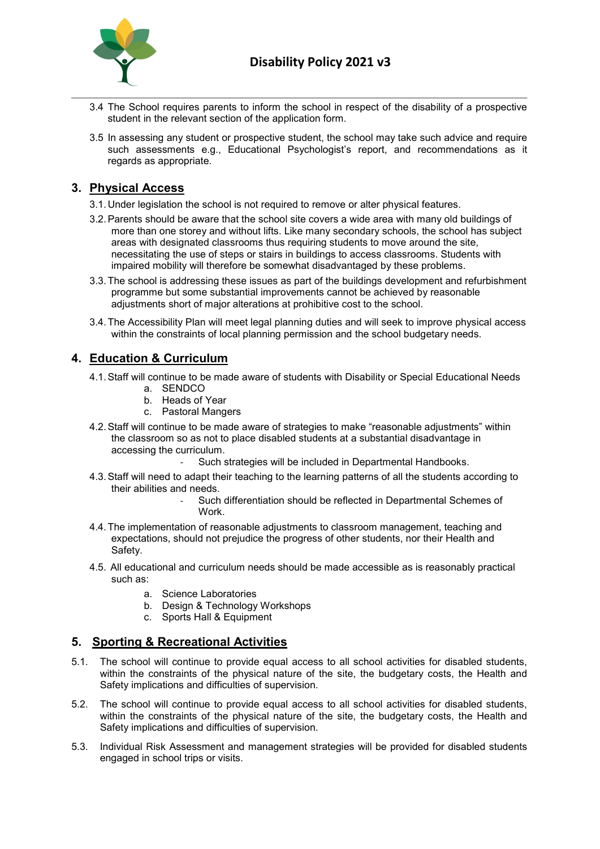

- 3.4 The School requires parents to inform the school in respect of the disability of a prospective student in the relevant section of the application form.
- 3.5 In assessing any student or prospective student, the school may take such advice and require such assessments e.g., Educational Psychologist's report, and recommendations as it regards as appropriate.

## **3. Physical Access**

- 3.1. Under legislation the school is not required to remove or alter physical features.
- 3.2.Parents should be aware that the school site covers a wide area with many old buildings of more than one storey and without lifts. Like many secondary schools, the school has subject areas with designated classrooms thus requiring students to move around the site, necessitating the use of steps or stairs in buildings to access classrooms. Students with impaired mobility will therefore be somewhat disadvantaged by these problems.
- 3.3.The school is addressing these issues as part of the buildings development and refurbishment programme but some substantial improvements cannot be achieved by reasonable adjustments short of major alterations at prohibitive cost to the school.
- 3.4.The Accessibility Plan will meet legal planning duties and will seek to improve physical access within the constraints of local planning permission and the school budgetary needs.

## **4. Education & Curriculum**

- 4.1.Staff will continue to be made aware of students with Disability or Special Educational Needs
	- a. SENDCO
	- b. Heads of Year
	- c. Pastoral Mangers
- 4.2.Staff will continue to be made aware of strategies to make "reasonable adjustments" within the classroom so as not to place disabled students at a substantial disadvantage in accessing the curriculum.
	- Such strategies will be included in Departmental Handbooks.
- 4.3.Staff will need to adapt their teaching to the learning patterns of all the students according to their abilities and needs.
	- Such differentiation should be reflected in Departmental Schemes of Work.
- 4.4.The implementation of reasonable adjustments to classroom management, teaching and expectations, should not prejudice the progress of other students, nor their Health and Safety.
- 4.5. All educational and curriculum needs should be made accessible as is reasonably practical such as:
	- a. Science Laboratories
	- b. Design & Technology Workshops
	- c. Sports Hall & Equipment

# **5. Sporting & Recreational Activities**

- 5.1. The school will continue to provide equal access to all school activities for disabled students, within the constraints of the physical nature of the site, the budgetary costs, the Health and Safety implications and difficulties of supervision.
- 5.2. The school will continue to provide equal access to all school activities for disabled students, within the constraints of the physical nature of the site, the budgetary costs, the Health and Safety implications and difficulties of supervision.
- 5.3. Individual Risk Assessment and management strategies will be provided for disabled students engaged in school trips or visits.